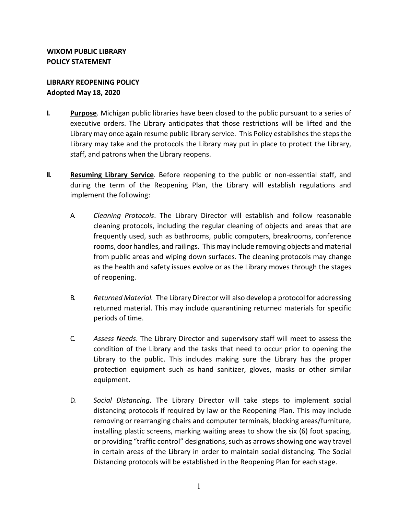## **LIBRARY REOPENING POLICY Adopted May 18, 2020**

- **I. Purpose**. Michigan public libraries have been closed to the public pursuant to a series of executive orders. The Library anticipates that those restrictions will be lifted and the Library may once again resume public library service. This Policy establishes the steps the Library may take and the protocols the Library may put in place to protect the Library, staff, and patrons when the Library reopens.
- **II. Resuming Library Service**. Before reopening to the public or non-essential staff, and during the term of the Reopening Plan, the Library will establish regulations and implement the following:
	- A. *Cleaning Protocols*. The Library Director will establish and follow reasonable cleaning protocols, including the regular cleaning of objects and areas that are frequently used, such as bathrooms, public computers, breakrooms, conference rooms, door handles, and railings. This may include removing objects and material from public areas and wiping down surfaces. The cleaning protocols may change as the health and safety issues evolve or as the Library moves through the stages of reopening.
	- B. *Returned Material.* The Library Director will also develop a protocol for addressing returned material. This may include quarantining returned materials for specific periods of time.
	- C. *Assess Needs*. The Library Director and supervisory staff will meet to assess the condition of the Library and the tasks that need to occur prior to opening the Library to the public. This includes making sure the Library has the proper protection equipment such as hand sanitizer, gloves, masks or other similar equipment.
	- D. *Social Distancing*. The Library Director will take steps to implement social distancing protocols if required by law or the Reopening Plan. This may include removing or rearranging chairs and computer terminals, blocking areas/furniture, installing plastic screens, marking waiting areas to show the six (6) foot spacing, or providing "traffic control" designations, such as arrows showing one way travel in certain areas of the Library in order to maintain social distancing. The Social Distancing protocols will be established in the Reopening Plan for each stage.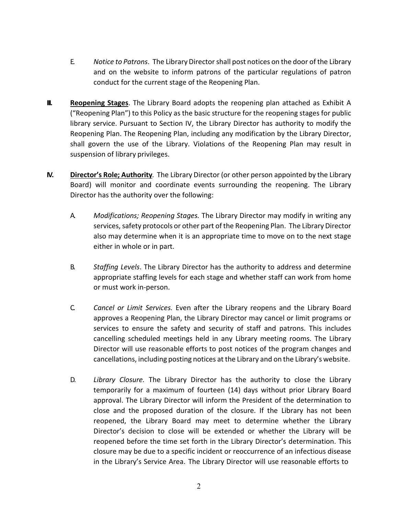- E. *Notice to Patrons*. The Library Directorshall post notices on the door of the Library and on the website to inform patrons of the particular regulations of patron conduct for the current stage of the Reopening Plan.
- **III. Reopening Stages**. The Library Board adopts the reopening plan attached as Exhibit A ("Reopening Plan") to this Policy as the basic structure for the reopening stages for public library service. Pursuant to Section IV, the Library Director has authority to modify the Reopening Plan. The Reopening Plan, including any modification by the Library Director, shall govern the use of the Library. Violations of the Reopening Plan may result in suspension of library privileges.
- **IV. Director's Role; Authority***.* The Library Director (or other person appointed by the Library Board) will monitor and coordinate events surrounding the reopening. The Library Director has the authority over the following:
	- A. *Modifications; Reopening Stages.* The Library Director may modify in writing any services, safety protocols or other part of the Reopening Plan. The Library Director also may determine when it is an appropriate time to move on to the next stage either in whole or in part.
	- B. *Staffing Levels*. The Library Director has the authority to address and determine appropriate staffing levels for each stage and whether staff can work from home or must work in-person.
	- C. *Cancel or Limit Services.* Even after the Library reopens and the Library Board approves a Reopening Plan, the Library Director may cancel or limit programs or services to ensure the safety and security of staff and patrons. This includes cancelling scheduled meetings held in any Library meeting rooms. The Library Director will use reasonable efforts to post notices of the program changes and cancellations, including posting notices at the Library and on the Library's website.
	- D. *Library Closure.* The Library Director has the authority to close the Library temporarily for a maximum of fourteen (14) days without prior Library Board approval. The Library Director will inform the President of the determination to close and the proposed duration of the closure. If the Library has not been reopened, the Library Board may meet to determine whether the Library Director's decision to close will be extended or whether the Library will be reopened before the time set forth in the Library Director's determination. This closure may be due to a specific incident or reoccurrence of an infectious disease in the Library's Service Area. The Library Director will use reasonable efforts to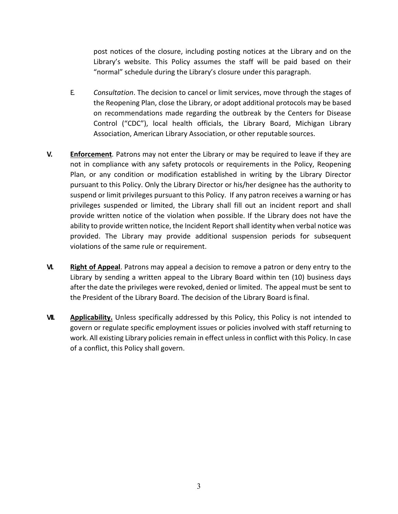post notices of the closure, including posting notices at the Library and on the Library's website. This Policy assumes the staff will be paid based on their "normal" schedule during the Library's closure under this paragraph.

- E. *Consultation*. The decision to cancel or limit services, move through the stages of the Reopening Plan, close the Library, or adopt additional protocols may be based on recommendations made regarding the outbreak by the Centers for Disease Control ("CDC"), local health officials, the Library Board, Michigan Library Association, American Library Association, or other reputable sources.
- **V. Enforcement***.* Patrons may not enter the Library or may be required to leave if they are not in compliance with any safety protocols or requirements in the Policy, Reopening Plan, or any condition or modification established in writing by the Library Director pursuant to this Policy. Only the Library Director or his/her designee has the authority to suspend or limit privileges pursuant to this Policy. If any patron receives a warning or has privileges suspended or limited, the Library shall fill out an incident report and shall provide written notice of the violation when possible. If the Library does not have the ability to provide written notice, the Incident Report shall identity when verbal notice was provided. The Library may provide additional suspension periods for subsequent violations of the same rule or requirement.
- **VI. Right of Appeal**. Patrons may appeal a decision to remove a patron or deny entry to the Library by sending a written appeal to the Library Board within ten (10) business days after the date the privileges were revoked, denied or limited. The appeal must be sent to the President of the Library Board. The decision of the Library Board isfinal.
- **VII. Applicability.** Unless specifically addressed by this Policy, this Policy is not intended to govern or regulate specific employment issues or policies involved with staff returning to work. All existing Library policies remain in effect unless in conflict with this Policy. In case of a conflict, this Policy shall govern.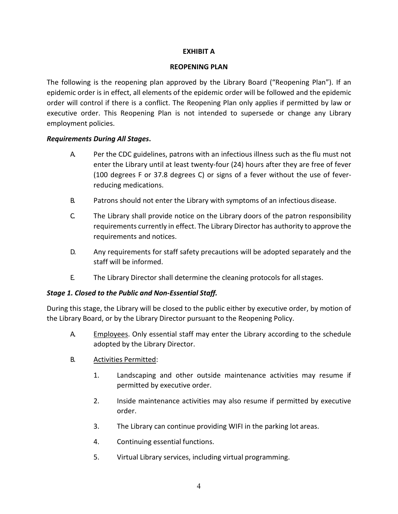#### **EXHIBIT A**

#### **REOPENING PLAN**

The following is the reopening plan approved by the Library Board ("Reopening Plan"). If an epidemic order is in effect, all elements of the epidemic order will be followed and the epidemic order will control if there is a conflict. The Reopening Plan only applies if permitted by law or executive order. This Reopening Plan is not intended to supersede or change any Library employment policies.

## *Requirements During All Stages***.**

- A. Per the CDC guidelines, patrons with an infectious illness such as the flu must not enter the Library until at least twenty-four (24) hours after they are free of fever (100 degrees F or 37.8 degrees C) or signs of a fever without the use of feverreducing medications.
- B. Patrons should not enter the Library with symptoms of an infectious disease.
- C. The Library shall provide notice on the Library doors of the patron responsibility requirements currently in effect. The Library Director has authority to approve the requirements and notices.
- D. Any requirements for staff safety precautions will be adopted separately and the staff will be informed.
- E. The Library Director shall determine the cleaning protocols for allstages.

## *Stage 1. Closed to the Public and Non-Essential Staff.*

During this stage, the Library will be closed to the public either by executive order, by motion of the Library Board, or by the Library Director pursuant to the Reopening Policy.

- A. Employees. Only essential staff may enter the Library according to the schedule adopted by the Library Director.
- B. Activities Permitted:
	- 1. Landscaping and other outside maintenance activities may resume if permitted by executive order.
	- 2. Inside maintenance activities may also resume if permitted by executive order.
	- 3. The Library can continue providing WIFI in the parking lot areas.
	- 4. Continuing essential functions.
	- 5. Virtual Library services, including virtual programming.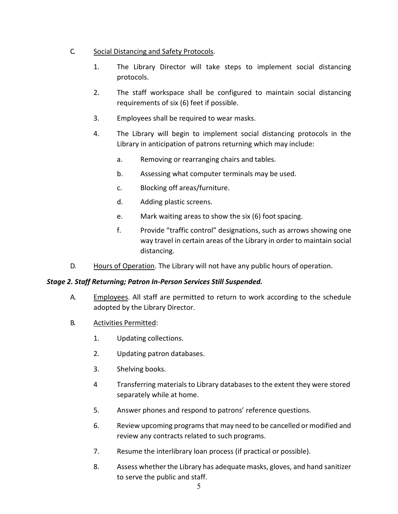## C. Social Distancing and Safety Protocols.

- 1. The Library Director will take steps to implement social distancing protocols.
- 2. The staff workspace shall be configured to maintain social distancing requirements of six (6) feet if possible.
- 3. Employees shall be required to wear masks.
- 4. The Library will begin to implement social distancing protocols in the Library in anticipation of patrons returning which may include:
	- a. Removing or rearranging chairs and tables.
	- b. Assessing what computer terminals may be used.
	- c. Blocking off areas/furniture.
	- d. Adding plastic screens.
	- e. Mark waiting areas to show the six (6) foot spacing.
	- f. Provide "traffic control" designations, such as arrows showing one way travel in certain areas of the Library in order to maintain social distancing.
- D. Hours of Operation. The Library will not have any public hours of operation.

## *Stage 2. Staff Returning; Patron In-Person Services Still Suspended.*

- A. Employees. All staff are permitted to return to work according to the schedule adopted by the Library Director.
- B. Activities Permitted:
	- 1. Updating collections.
	- 2. Updating patron databases.
	- 3. Shelving books.
	- 4 Transferring materialsto Library databasesto the extent they were stored separately while at home.
	- 5. Answer phones and respond to patrons' reference questions.
	- 6. Review upcoming programsthat may need to be cancelled or modified and review any contracts related to such programs.
	- 7. Resume the interlibrary loan process (if practical or possible).
	- 8. Assess whether the Library has adequate masks, gloves, and hand sanitizer to serve the public and staff.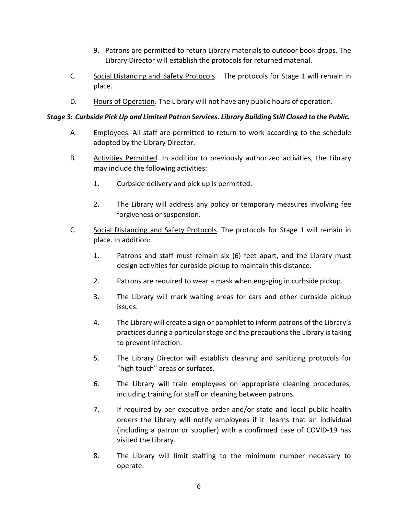- 9. Patrons are permitted to return Library materials to outdoor book drops. The Library Director will establish the protocols for returned material.
- C. Social Distancing and Safety Protocols. The protocols for Stage 1 will remain in place.
- D. Hours of Operation. The Library will not have any public hours of operation.

### *Stage 3: Curbside Pick Up and Limited Patron Services. Library Building Still Closed to the Public.*

- A. Employees. All staff are permitted to return to work according to the schedule adopted by the Library Director.
- B. Activities Permitted. In addition to previously authorized activities, the Library may include the following activities:
	- 1. Curbside delivery and pick up is permitted.
	- 2. The Library will address any policy or temporary measures involving fee forgiveness or suspension.
- C. Social Distancing and Safety Protocols. The protocols for Stage 1 will remain in place. In addition:
	- 1. Patrons and staff must remain six (6) feet apart, and the Library must design activities for curbside pickup to maintain this distance.
	- 2. Patrons are required to wear a mask when engaging in curbside pickup.
	- 3. The Library will mark waiting areas for cars and other curbside pickup issues.
	- 4. The Library will create a sign or pamphlet to inform patrons of the Library's practices during a particular stage and the precautions the Library istaking to prevent infection.
	- 5. The Library Director will establish cleaning and sanitizing protocols for "high touch" areas or surfaces.
	- 6. The Library will train employees on appropriate cleaning procedures, including training for staff on cleaning between patrons.
	- 7. If required by per executive order and/or state and local public health orders the Library will notify employees if it learns that an individual (including a patron or supplier) with a confirmed case of COVID-19 has visited the Library.
	- 8. The Library will limit staffing to the minimum number necessary to operate.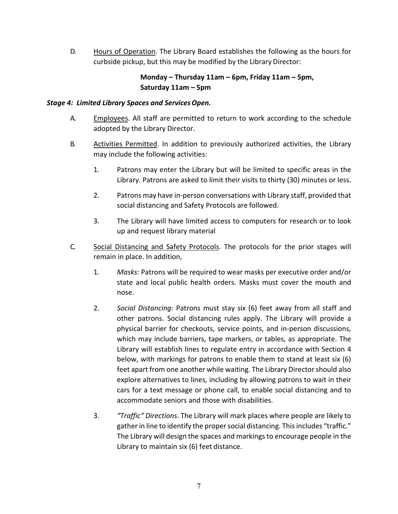D. Hours of Operation. The Library Board establishes the following as the hours for curbside pickup, but this may be modified by the Library Director:

## **Monday – Thursday 11am – 6pm, Friday 11am – 5pm, Saturday 11am – 5pm**

#### *Stage 4: Limited Library Spaces and ServicesOpen.*

- A. Employees. All staff are permitted to return to work according to the schedule adopted by the Library Director.
- B. Activities Permitted. In addition to previously authorized activities, the Library may include the following activities:
	- 1. Patrons may enter the Library but will be limited to specific areas in the Library. Patrons are asked to limit their visits to thirty (30) minutes or less.
	- 2. Patrons may have in-person conversations with Library staff, provided that social distancing and Safety Protocols are followed.
	- 3. The Library will have limited access to computers for research or to look up and request library material
- C. Social Distancing and Safety Protocols. The protocols for the prior stages will remain in place. In addition,
	- 1. *Masks*: Patrons will be required to wear masks per executive order and/or state and local public health orders. Masks must cover the mouth and nose.
	- 2. *Social Distancing*: Patrons must stay six (6) feet away from all staff and other patrons. Social distancing rules apply. The Library will provide a physical barrier for checkouts, service points, and in-person discussions, which may include barriers, tape markers, or tables, as appropriate. The Library will establish lines to regulate entry in accordance with Section 4 below, with markings for patrons to enable them to stand at least six (6) feet apart from one another while waiting. The Library Director should also explore alternatives to lines, including by allowing patrons to wait in their cars for a text message or phone call, to enable social distancing and to accommodate seniors and those with disabilities.
	- 3. *"Traffic" Directions*. The Library will mark places where people are likely to gather in line to identify the proper social distancing. This includes "traffic." The Library will design the spaces and markings to encourage people in the Library to maintain six (6) feet distance.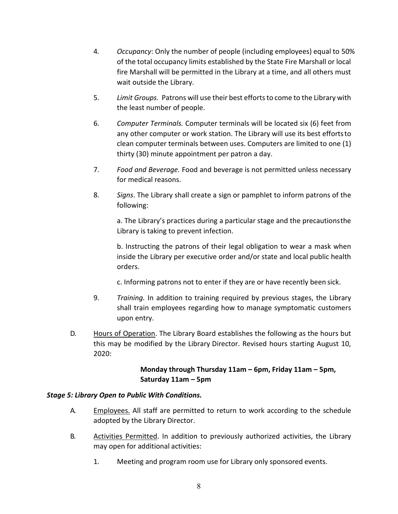- 4. *Occupancy*: Only the number of people (including employees) equal to 50% of the total occupancy limits established by the State Fire Marshall or local fire Marshall will be permitted in the Library at a time, and all others must wait outside the Library.
- 5. *Limit Groups.* Patrons will use their best effortsto come to the Library with the least number of people.
- 6. *Computer Terminals.* Computer terminals will be located six (6) feet from any other computer or work station. The Library will use its best effortsto clean computer terminals between uses. Computers are limited to one (1) thirty (30) minute appointment per patron a day.
- 7. *Food and Beverage.* Food and beverage is not permitted unless necessary for medical reasons.
- 8. *Signs*. The Library shall create a sign or pamphlet to inform patrons of the following:

a. The Library's practices during a particular stage and the precautionsthe Library is taking to prevent infection.

b. Instructing the patrons of their legal obligation to wear a mask when inside the Library per executive order and/or state and local public health orders.

c. Informing patrons not to enter if they are or have recently been sick.

- 9. *Training.* In addition to training required by previous stages, the Library shall train employees regarding how to manage symptomatic customers upon entry.
- D. Hours of Operation. The Library Board establishes the following as the hours but this may be modified by the Library Director. Revised hours starting August 10, 2020:

## **Monday through Thursday 11am – 6pm, Friday 11am – 5pm, Saturday 11am – 5pm**

## *Stage 5: Library Open to Public With Conditions.*

- A. Employees. All staff are permitted to return to work according to the schedule adopted by the Library Director.
- B. Activities Permitted. In addition to previously authorized activities, the Library may open for additional activities:
	- 1. Meeting and program room use for Library only sponsored events.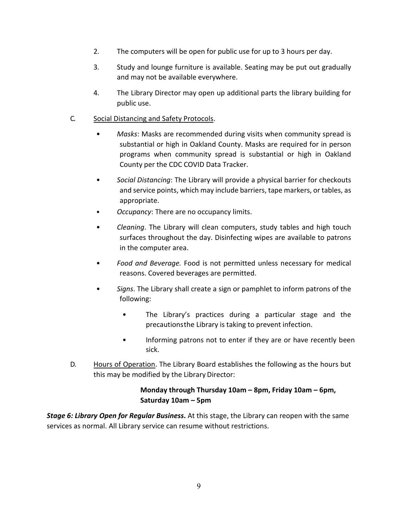- 2. The computers will be open for public use for up to 3 hours per day.
- 3. Study and lounge furniture is available. Seating may be put out gradually and may not be available everywhere.
- 4. The Library Director may open up additional parts the library building for public use.

### C. Social Distancing and Safety Protocols.

- *Masks*: Masks are recommended during visits when community spread is substantial or high in Oakland County. Masks are required for in person programs when community spread is substantial or high in Oakland County per the CDC COVID Data Tracker.
- *Social Distancing*: The Library will provide a physical barrier for checkouts and service points, which may include barriers, tape markers, or tables, as appropriate.
- *Occupancy*: There are no occupancy limits.
- *Cleaning*. The Library will clean computers, study tables and high touch surfaces throughout the day. Disinfecting wipes are available to patrons in the computer area.
- *Food and Beverage.* Food is not permitted unless necessary for medical reasons. Covered beverages are permitted.
- *Signs*. The Library shall create a sign or pamphlet to inform patrons of the following:
	- The Library's practices during a particular stage and the precautionsthe Library is taking to prevent infection.
	- Informing patrons not to enter if they are or have recently been sick.
- D. Hours of Operation. The Library Board establishes the following as the hours but this may be modified by the Library Director:

## **Monday through Thursday 10am – 8pm, Friday 10am – 6pm, Saturday 10am – 5pm**

*Stage 6: Library Open for Regular Business***.** At this stage, the Library can reopen with the same services as normal. All Library service can resume without restrictions.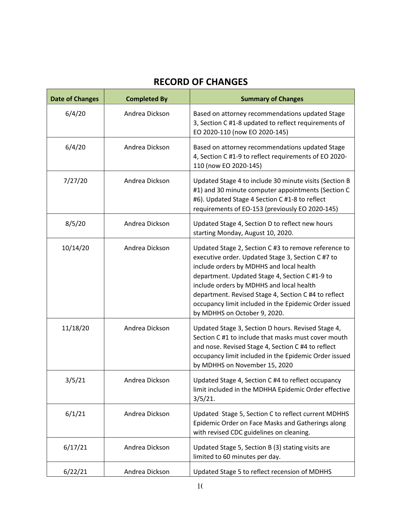# **RECORD OF CHANGES**

| <b>Date of Changes</b> | <b>Completed By</b> | <b>Summary of Changes</b>                                                                                                                                                                                                                                                                                                                                                                            |
|------------------------|---------------------|------------------------------------------------------------------------------------------------------------------------------------------------------------------------------------------------------------------------------------------------------------------------------------------------------------------------------------------------------------------------------------------------------|
| 6/4/20                 | Andrea Dickson      | Based on attorney recommendations updated Stage<br>3, Section C #1-8 updated to reflect requirements of<br>EO 2020-110 (now EO 2020-145)                                                                                                                                                                                                                                                             |
| 6/4/20                 | Andrea Dickson      | Based on attorney recommendations updated Stage<br>4, Section C #1-9 to reflect requirements of EO 2020-<br>110 (now EO 2020-145)                                                                                                                                                                                                                                                                    |
| 7/27/20                | Andrea Dickson      | Updated Stage 4 to include 30 minute visits (Section B<br>#1) and 30 minute computer appointments (Section C<br>#6). Updated Stage 4 Section C #1-8 to reflect<br>requirements of EO-153 (previously EO 2020-145)                                                                                                                                                                                    |
| 8/5/20                 | Andrea Dickson      | Updated Stage 4, Section D to reflect new hours<br>starting Monday, August 10, 2020.                                                                                                                                                                                                                                                                                                                 |
| 10/14/20               | Andrea Dickson      | Updated Stage 2, Section C #3 to remove reference to<br>executive order. Updated Stage 3, Section C #7 to<br>include orders by MDHHS and local health<br>department. Updated Stage 4, Section C #1-9 to<br>include orders by MDHHS and local health<br>department. Revised Stage 4, Section C #4 to reflect<br>occupancy limit included in the Epidemic Order issued<br>by MDHHS on October 9, 2020. |
| 11/18/20               | Andrea Dickson      | Updated Stage 3, Section D hours. Revised Stage 4,<br>Section C #1 to include that masks must cover mouth<br>and nose. Revised Stage 4, Section C #4 to reflect<br>occupancy limit included in the Epidemic Order issued<br>by MDHHS on November 15, 2020                                                                                                                                            |
| 3/5/21                 | Andrea Dickson      | Updated Stage 4, Section C #4 to reflect occupancy<br>limit included in the MDHHA Epidemic Order effective<br>$3/5/21$ .                                                                                                                                                                                                                                                                             |
| 6/1/21                 | Andrea Dickson      | Updated Stage 5, Section C to reflect current MDHHS<br>Epidemic Order on Face Masks and Gatherings along<br>with revised CDC guidelines on cleaning.                                                                                                                                                                                                                                                 |
| 6/17/21                | Andrea Dickson      | Updated Stage 5, Section B (3) stating visits are<br>limited to 60 minutes per day.                                                                                                                                                                                                                                                                                                                  |
| 6/22/21                | Andrea Dickson      | Updated Stage 5 to reflect recension of MDHHS                                                                                                                                                                                                                                                                                                                                                        |